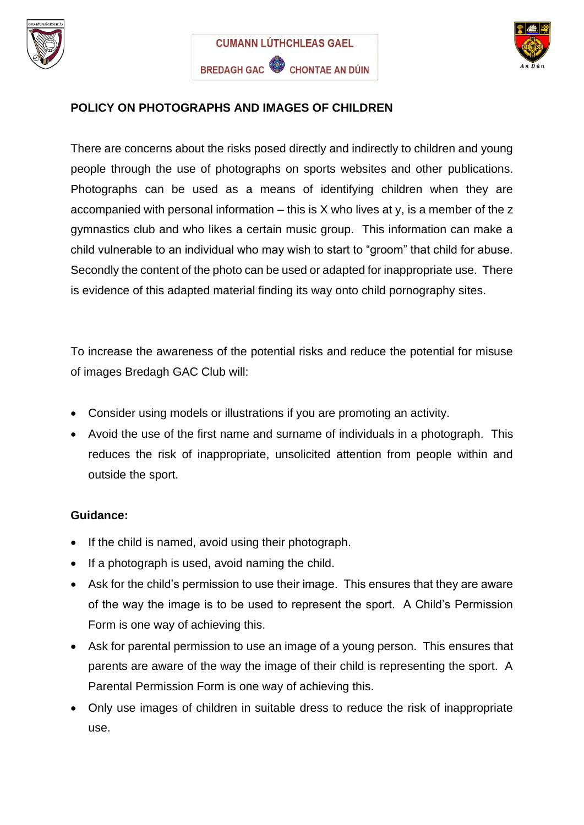



## **POLICY ON PHOTOGRAPHS AND IMAGES OF CHILDREN**

There are concerns about the risks posed directly and indirectly to children and young people through the use of photographs on sports websites and other publications. Photographs can be used as a means of identifying children when they are accompanied with personal information  $-$  this is X who lives at y, is a member of the z gymnastics club and who likes a certain music group. This information can make a child vulnerable to an individual who may wish to start to "groom" that child for abuse. Secondly the content of the photo can be used or adapted for inappropriate use. There is evidence of this adapted material finding its way onto child pornography sites.

To increase the awareness of the potential risks and reduce the potential for misuse of images Bredagh GAC Club will:

- Consider using models or illustrations if you are promoting an activity.
- Avoid the use of the first name and surname of individuals in a photograph. This reduces the risk of inappropriate, unsolicited attention from people within and outside the sport.

## **Guidance:**

- If the child is named, avoid using their photograph.
- If a photograph is used, avoid naming the child.
- Ask for the child's permission to use their image. This ensures that they are aware of the way the image is to be used to represent the sport. A Child's Permission Form is one way of achieving this.
- Ask for parental permission to use an image of a young person. This ensures that parents are aware of the way the image of their child is representing the sport. A Parental Permission Form is one way of achieving this.
- Only use images of children in suitable dress to reduce the risk of inappropriate use.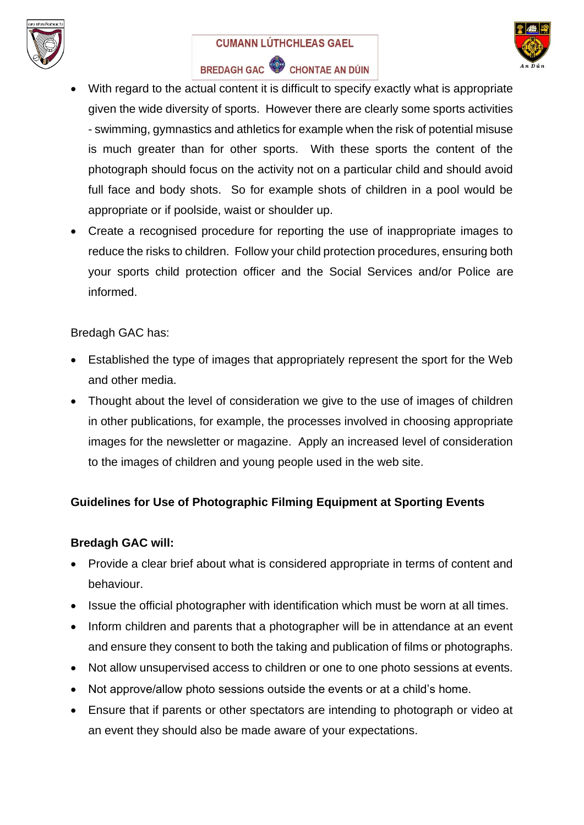

#### **CUMANN LÚTHCHLEAS GAEL**



## BREDAGH GAC CHONTAE AN DÚIN

- With regard to the actual content it is difficult to specify exactly what is appropriate given the wide diversity of sports. However there are clearly some sports activities - swimming, gymnastics and athletics for example when the risk of potential misuse is much greater than for other sports. With these sports the content of the photograph should focus on the activity not on a particular child and should avoid full face and body shots. So for example shots of children in a pool would be appropriate or if poolside, waist or shoulder up.
- Create a recognised procedure for reporting the use of inappropriate images to reduce the risks to children. Follow your child protection procedures, ensuring both your sports child protection officer and the Social Services and/or Police are informed.

#### Bredagh GAC has:

- Established the type of images that appropriately represent the sport for the Web and other media.
- Thought about the level of consideration we give to the use of images of children in other publications, for example, the processes involved in choosing appropriate images for the newsletter or magazine. Apply an increased level of consideration to the images of children and young people used in the web site.

## **Guidelines for Use of Photographic Filming Equipment at Sporting Events**

#### **Bredagh GAC will:**

- Provide a clear brief about what is considered appropriate in terms of content and behaviour.
- Issue the official photographer with identification which must be worn at all times.
- Inform children and parents that a photographer will be in attendance at an event and ensure they consent to both the taking and publication of films or photographs.
- Not allow unsupervised access to children or one to one photo sessions at events.
- Not approve/allow photo sessions outside the events or at a child's home.
- Ensure that if parents or other spectators are intending to photograph or video at an event they should also be made aware of your expectations.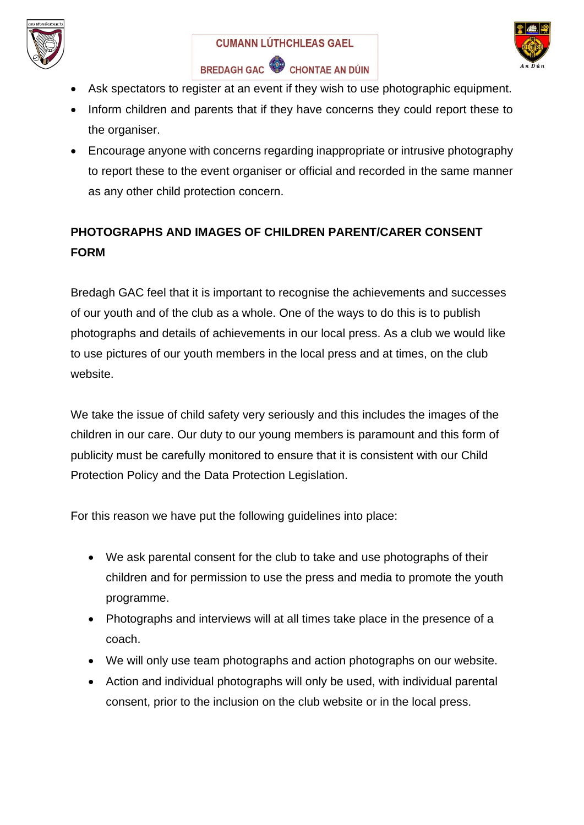



- Ask spectators to register at an event if they wish to use photographic equipment.
- Inform children and parents that if they have concerns they could report these to the organiser.
- Encourage anyone with concerns regarding inappropriate or intrusive photography to report these to the event organiser or official and recorded in the same manner as any other child protection concern.

# **PHOTOGRAPHS AND IMAGES OF CHILDREN PARENT/CARER CONSENT FORM**

Bredagh GAC feel that it is important to recognise the achievements and successes of our youth and of the club as a whole. One of the ways to do this is to publish photographs and details of achievements in our local press. As a club we would like to use pictures of our youth members in the local press and at times, on the club website.

We take the issue of child safety very seriously and this includes the images of the children in our care. Our duty to our young members is paramount and this form of publicity must be carefully monitored to ensure that it is consistent with our Child Protection Policy and the Data Protection Legislation.

For this reason we have put the following guidelines into place:

- We ask parental consent for the club to take and use photographs of their children and for permission to use the press and media to promote the youth programme.
- Photographs and interviews will at all times take place in the presence of a coach.
- We will only use team photographs and action photographs on our website.
- Action and individual photographs will only be used, with individual parental consent, prior to the inclusion on the club website or in the local press.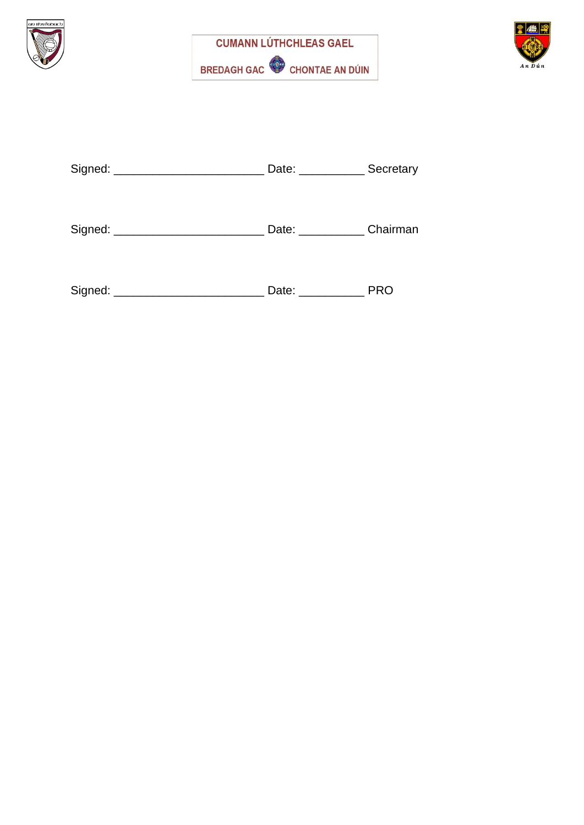





| Signed: | Date: | Secretary |
|---------|-------|-----------|
|         |       |           |

| Signed: | Date: | Chairman |
|---------|-------|----------|
|---------|-------|----------|

| Signed: | Date: | <b>PRC</b> |
|---------|-------|------------|
|---------|-------|------------|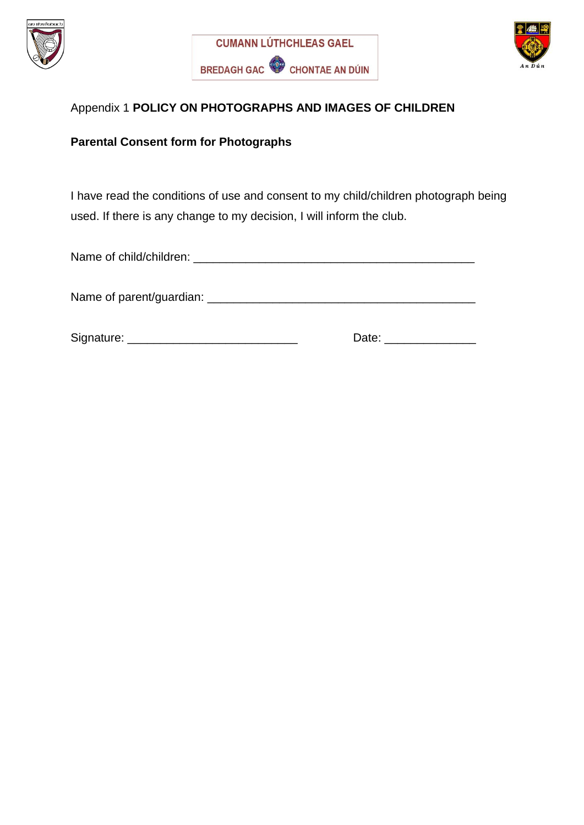





#### Appendix 1 **POLICY ON PHOTOGRAPHS AND IMAGES OF CHILDREN**

#### **Parental Consent form for Photographs**

I have read the conditions of use and consent to my child/children photograph being used. If there is any change to my decision, I will inform the club.

Name of child/children: \_\_\_\_\_\_\_\_\_\_\_\_\_\_\_\_\_\_\_\_\_\_\_\_\_\_\_\_\_\_\_\_\_\_\_\_\_\_\_\_\_\_\_

Name of parent/guardian: \_\_\_\_\_\_\_\_\_\_\_\_\_\_\_\_\_\_\_\_\_\_\_\_\_\_\_\_\_\_\_\_\_\_\_\_\_\_\_\_\_

Signature: \_\_\_\_\_\_\_\_\_\_\_\_\_\_\_\_\_\_\_\_\_\_\_\_\_\_ Date: \_\_\_\_\_\_\_\_\_\_\_\_\_\_